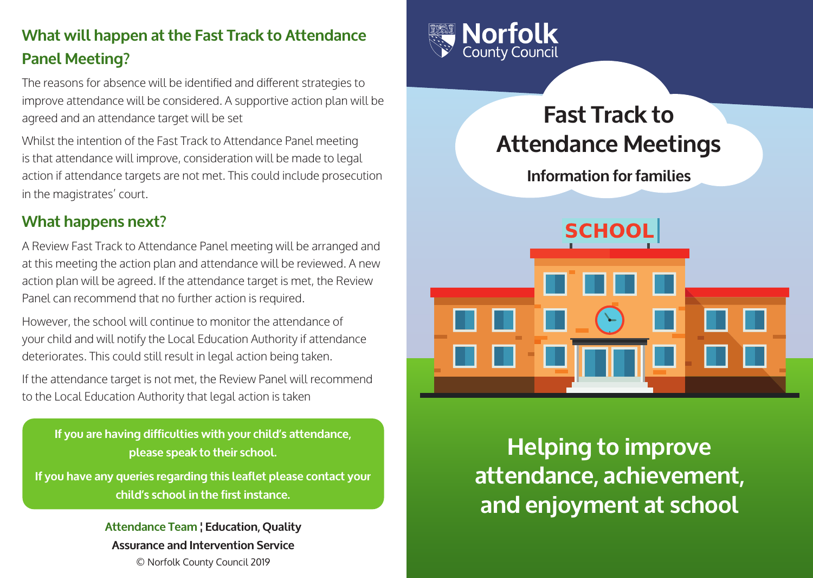# **What will happen at the Fast Track to Attendance Panel Meeting?**

The reasons for absence will be identified and different strategies to improve attendance will be considered. A supportive action plan will be agreed and an attendance target will be set

Whilst the intention of the Fast Track to Attendance Panel meeting is that attendance will improve, consideration will be made to legal action if attendance targets are not met. This could include prosecution in the magistrates' court.

# **What happens next?**

A Review Fast Track to Attendance Panel meeting will be arranged and at this meeting the action plan and attendance will be reviewed. A new action plan will be agreed. If the attendance target is met, the Review Panel can recommend that no further action is required.

However, the school will continue to monitor the attendance of your child and will notify the Local Education Authority if attendance deteriorates. This could still result in legal action being taken.

If the attendance target is not met, the Review Panel will recommend to the Local Education Authority that legal action is taken

**If you are having difficulties with your child's attendance, please speak to their school.**

**If you have any queries regarding this leaflet please contact your child's school in the first instance.**

> **Attendance Team ¦ Education, Quality Assurance and Intervention Service** © Norfolk County Council 2019



# **Fast Track to Attendance Meetings**

**Information for families**



**Helping to improve attendance, achievement, and enjoyment at school**